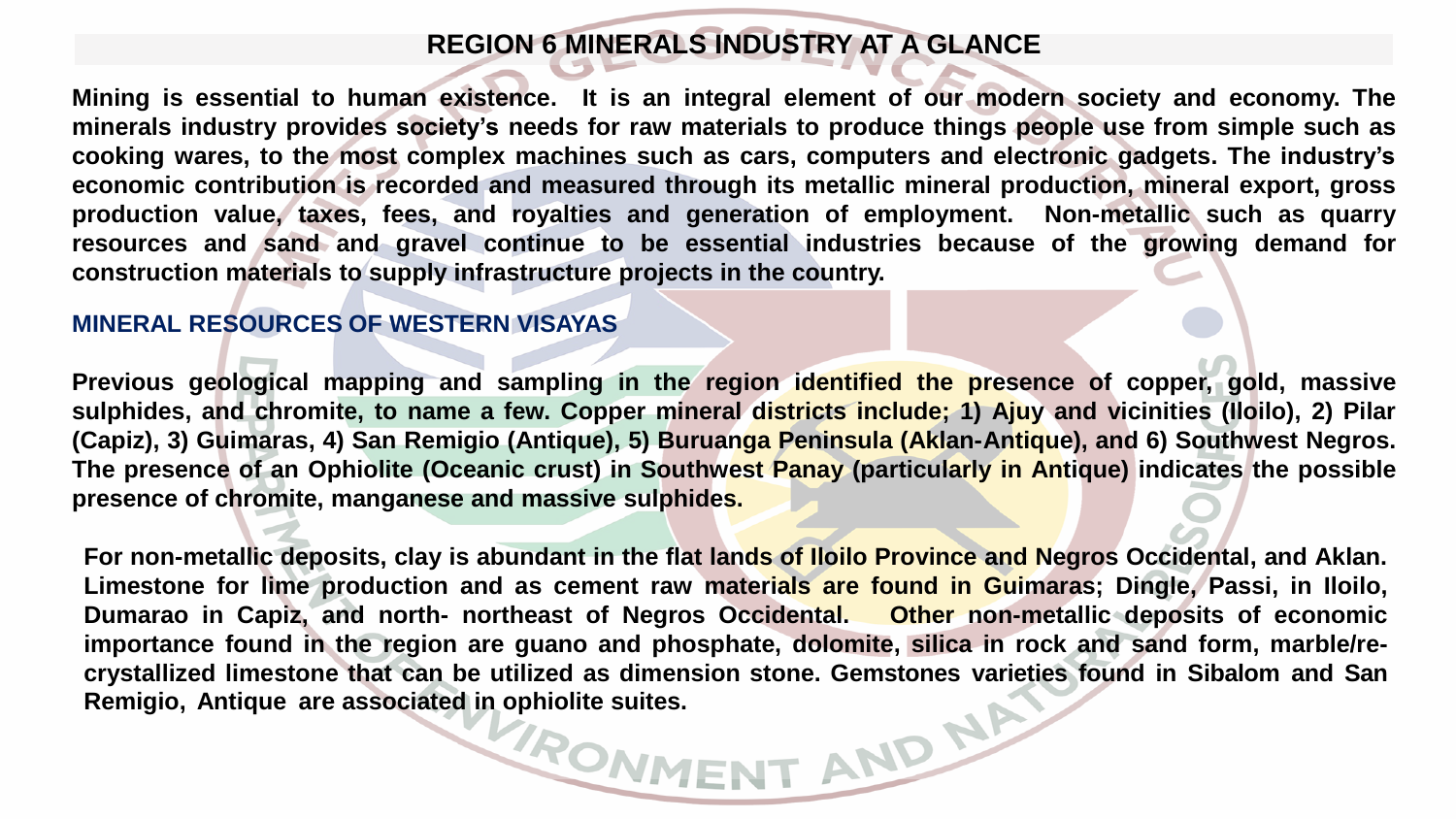# **REGION 6 MINERALS INDUSTRY AT A GLANCE**

Mining is essential to human existence. It is an integral element of our modern society and economy. The minerals industry provides society's needs for raw materials to produce things people use from simple such as **cooking wares, to the most complex machines such as cars, computers and electronic gadgets. The industry's economic contribution is recorded and measured through its metallic mineral production, mineral export, gross production value, taxes, fees, and royalties and generation of employment. Non-metallic such as quarry resources and sand and gravel continue to be essential industries because of the growing demand for construction materials to supply infrastructure projects in the country.**

## **MINERAL RESOURCES OF WESTERN VISAYAS**

**Previous geological mapping and sampling in the region identified the presence of copper, gold, massive** sulphides, and chromite, to name a few. Copper mineral districts include; 1) Ajuy and vicinities (Iloilo), 2) Pilar **(Capiz), 3) Guimaras, 4) San Remigio (Antique), 5) Buruanga Peninsula (Aklan-Antique), and 6) Southwest Negros. The presence of an Ophiolite (Oceanic crust) in Southwest Panay (particularly in Antique) indicates the possible presence of chromite, manganese and massive sulphides.**

For non-metallic deposits, clay is abundant in the flat lands of lloilo Province and Negros Occidental, and Aklan. Limestone for lime production and as cement raw materials are found in Guimaras; Dingle, Passi, in Iloilo, **Dumarao in Capiz, and north- northeast of Negros Occidental. Other non-metallic deposits of economic** importance found in the region are guano and phosphate, dolomite, silica in rock and sand form, marble/re**crystallized limestone that can be utilized as dimension stone. Gemstones varieties found in Sibalom and San Remigio, Antique are associated in ophiolite suites.**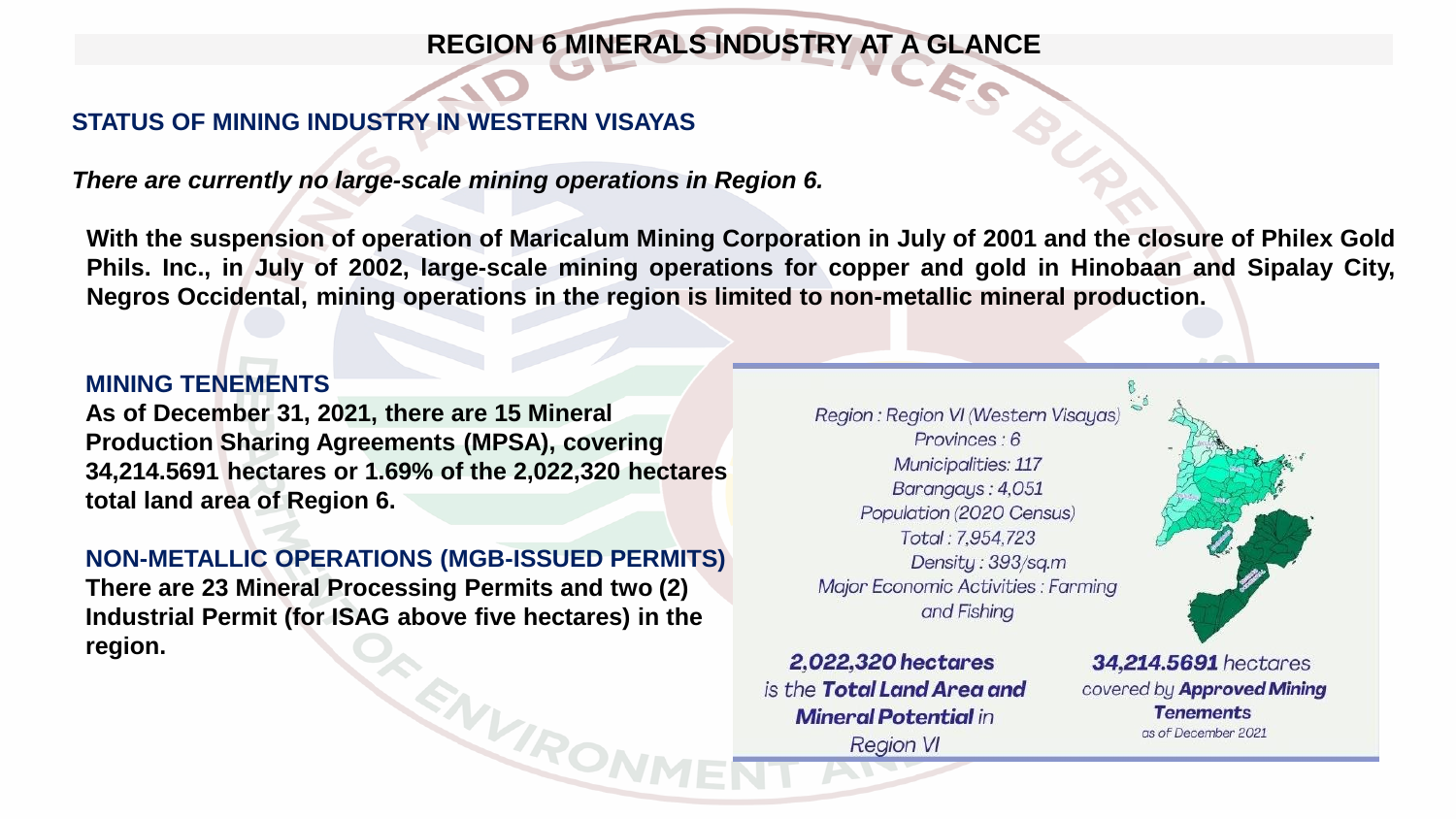# **REGION 6 MINERALS INDUSTRY AT A GLANCE**

## **STATUS OF MINING INDUSTRY IN WESTERN VISAYAS**

*There are currently no large-scale mining operations in Region 6.*

With the suspension of operation of Maricalum Mining Corporation in July of 2001 and the closure of Philex Gold Phils. Inc., in July of 2002, large-scale mining operations for copper and gold in Hinobaan and Sipalay City, **Negros Occidental, mining operations in the region is limited to non-metallic mineral production.**

#### **MINING TENEMENTS**

**As of December 31, 2021, there are 15 Mineral Production Sharing Agreements (MPSA), covering 34,214.5691 hectares or 1.69% of the 2,022,320 hectares total land area of Region 6.** 

#### **NON-METALLIC OPERATIONS (MGB-ISSUED PERMITS)**

**There are 23 Mineral Processing Permits and two (2) Industrial Permit (for ISAG above five hectares) in the region.** 

ENVRON

Region : Region VI (Western Visayas) Provinces: 6 Municipalities: 117 Barangays: 4,051 Population (2020 Census) Total: 7.954,723 Density: 393/sq.m Major Economic Activities : Farming and Fishing

2,022,320 hectares is the **Total Land Area and Mineral Potential in Region VI** 

34.214.5691 hectares covered by Approved Mining **Tenements** as of December 2021